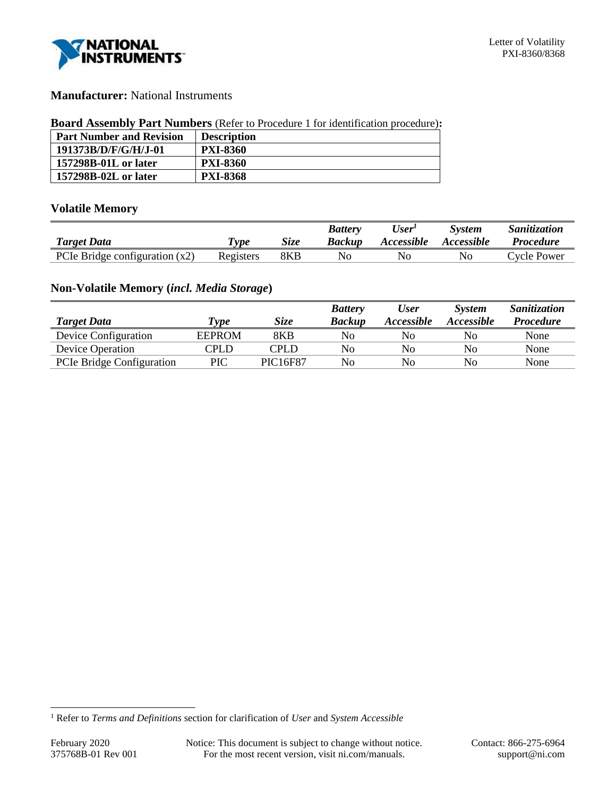

# **Manufacturer:** National Instruments

#### **Board Assembly Part Numbers** (Refer to Procedure 1 for identification procedure)**:**

| <b>Part Number and Revision</b> | <b>Description</b> |
|---------------------------------|--------------------|
| 191373B/D/F/G/H/J-01            | <b>PXI-8360</b>    |
| 157298B-01L or later            | <b>PXI-8360</b>    |
| 157298B-02L or later            | <b>PXI-8368</b>    |

# **Volatile Memory**

|                                  |            |      | <b>Battery</b> | <b>User</b>       | System            | Sanitization     |
|----------------------------------|------------|------|----------------|-------------------|-------------------|------------------|
| <b>Target Data</b>               | <i>vpe</i> | Size | Backup         | <i>Accessible</i> | <i>Accessible</i> | <i>Procedure</i> |
| PCIe Bridge configuration $(x2)$ | Registers  | 8KB  | No             | ΙNΟ               | N0.               | Cycle Power      |

# **Non-Volatile Memory (***incl. Media Storage***)**

|                           |               |             | <b>Battery</b> | <b>User</b>              | <b>System</b>            | <b>Sanitization</b> |
|---------------------------|---------------|-------------|----------------|--------------------------|--------------------------|---------------------|
| <b>Target Data</b>        | <b>Type</b>   | <b>Size</b> | <b>Backup</b>  | <i><b>Accessible</b></i> | <i><b>Accessible</b></i> | <b>Procedure</b>    |
| Device Configuration      | <b>EEPROM</b> | 8KB         | No             | No                       | No                       | None                |
| <b>Device Operation</b>   | CPLD          | CPLD        | No             | N <sub>0</sub>           | No                       | None                |
| PCIe Bridge Configuration | PIC           | PIC16F87    | No             | No                       | No                       | None                |

<sup>1</sup> Refer to *Terms and Definitions* section for clarification of *User* and *System Accessible*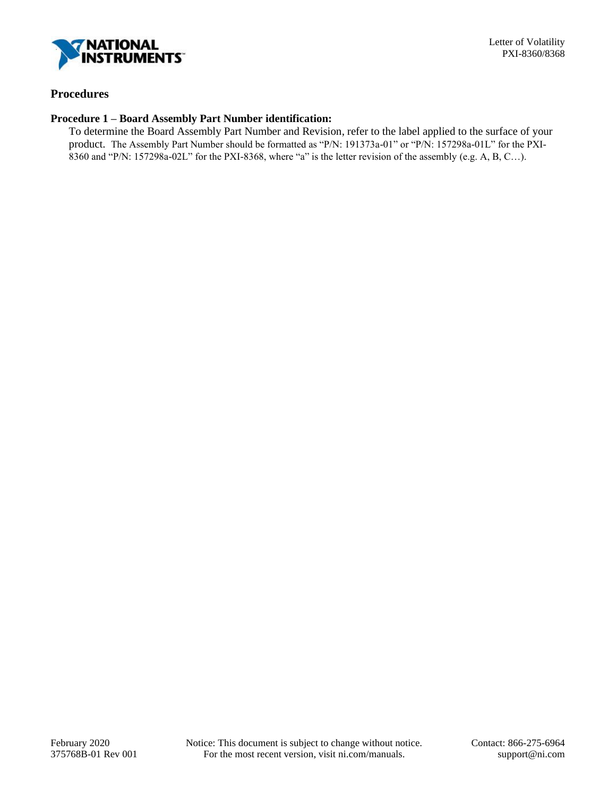

# **Procedures**

#### **Procedure 1 – Board Assembly Part Number identification:**

To determine the Board Assembly Part Number and Revision, refer to the label applied to the surface of your product. The Assembly Part Number should be formatted as "P/N: 191373a-01" or "P/N: 157298a-01L" for the PXI-8360 and "P/N: 157298a-02L" for the PXI-8368, where "a" is the letter revision of the assembly (e.g. A, B, C…).